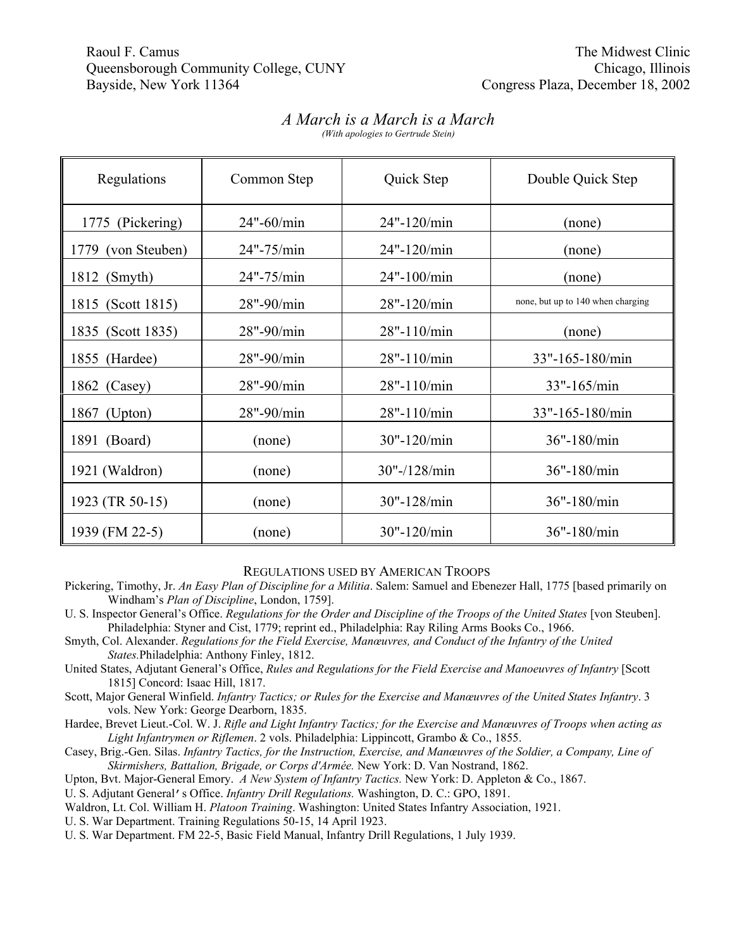## Raoul F. Camus The Midwest Clinic Camus The Midwest Clinic Camus The Midwest Clinic Camus The Midwest Clinic Camus The Midwest Clinic Camus The Midwest Clinic Camus The Midwest Clinic Camus The Midwest Clinic Camus The Mid Queensborough Community College, CUNY Chicago, Illinois Bayside, New York 11364 Congress Plaza, December 18, 2002

## *A March is a March is a March*

*(With apologies to Gertrude Stein)*

| Regulations           | Common Step | Quick Step      | Double Quick Step                 |
|-----------------------|-------------|-----------------|-----------------------------------|
| (Pickering)<br>1775   | 24"-60/min  | 24"-120/min     | (none)                            |
| (von Steuben)<br>1779 | 24"-75/min  | 24"-120/min     | (none)                            |
| 1812 (Smyth)          | 24"-75/min  | 24"-100/min     | (none)                            |
| 1815 (Scott 1815)     | 28"-90/min  | 28"-120/min     | none, but up to 140 when charging |
| 1835 (Scott 1835)     | 28"-90/min  | 28"-110/min     | (none)                            |
| 1855 (Hardee)         | 28"-90/min  | 28"-110/min     | 33"-165-180/min                   |
| 1862 (Casey)          | 28"-90/min  | 28"-110/min     | 33"-165/min                       |
| (Upton)<br>1867       | 28"-90/min  | 28"-110/min     | 33"-165-180/min                   |
| 1891 (Board)          | (none)      | 30"-120/min     | 36"-180/min                       |
| 1921 (Waldron)        | (none)      | $30"$ -/128/min | 36"-180/min                       |
| 1923 (TR 50-15)       | (none)      | 30"-128/min     | 36"-180/min                       |
| 1939 (FM 22-5)        | (none)      | 30"-120/min     | 36"-180/min                       |

REGULATIONS USED BY AMERICAN TROOPS

Pickering, Timothy, Jr. *An Easy Plan of Discipline for a Militia*. Salem: Samuel and Ebenezer Hall, 1775 [based primarily on Windham's *Plan of Discipline*, London, 1759].

U. S. Inspector General's Office. *Regulations for the Order and Discipline of the Troops of the United States* [von Steuben]. Philadelphia: Styner and Cist, 1779; reprint ed., Philadelphia: Ray Riling Arms Books Co., 1966.

- Smyth, Col. Alexander. *Regulations for the Field Exercise, Manœuvres, and Conduct of the Infantry of the United States.*Philadelphia: Anthony Finley, 1812.
- United States, Adjutant General's Office, *Rules and Regulations for the Field Exercise and Manoeuvres of Infantry* [Scott 1815] Concord: Isaac Hill, 1817.
- Scott, Major General Winfield. *Infantry Tactics; or Rules for the Exercise and Manœuvres of the United States Infantry*. 3 vols. New York: George Dearborn, 1835.
- Hardee, Brevet Lieut.-Col. W. J. *Rifle and Light Infantry Tactics; for the Exercise and Manœuvres of Troops when acting as Light Infantrymen or Riflemen*. 2 vols. Philadelphia: Lippincott, Grambo & Co., 1855.
- Casey, Brig.-Gen. Silas. *Infantry Tactics, for the Instruction, Exercise, and Manœuvres of the Soldier, a Company, Line of Skirmishers, Battalion, Brigade, or Corps d'Armée.* New York: D. Van Nostrand, 1862.
- Upton, Bvt. Major-General Emory. *A New System of Infantry Tactics.* New York: D. Appleton & Co., 1867.

U. S. Adjutant General's Office. *Infantry Drill Regulations.* Washington, D. C.: GPO, 1891.

Waldron, Lt. Col. William H. *Platoon Training*. Washington: United States Infantry Association, 1921.

U. S. War Department. Training Regulations 50-15, 14 April 1923.

U. S. War Department. FM 22-5, Basic Field Manual, Infantry Drill Regulations, 1 July 1939.